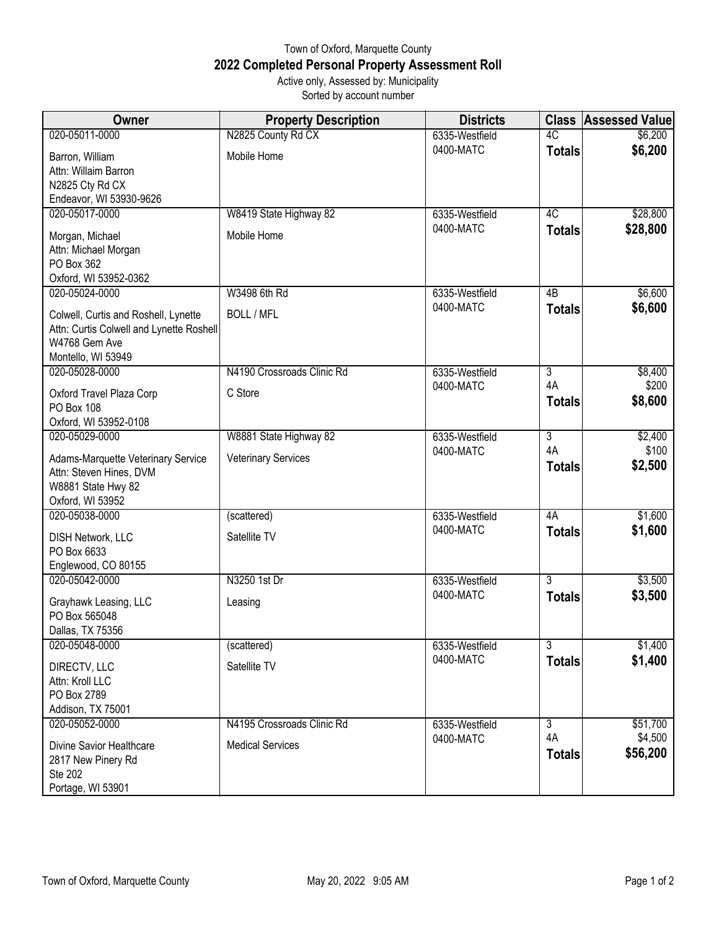## Town of Oxford, Marquette County **2022 Completed Personal Property Assessment Roll** Active only, Assessed by: Municipality

Sorted by account number

| Owner                                                                                                                   | <b>Property Description</b> | <b>Districts</b> | <b>Class</b>                    | <b>Assessed Value</b> |
|-------------------------------------------------------------------------------------------------------------------------|-----------------------------|------------------|---------------------------------|-----------------------|
| 020-05011-0000                                                                                                          | N2825 County Rd CX          | 6335-Westfield   | 4C                              | \$6,200               |
| Barron, William<br>Attn: Willaim Barron<br>N2825 Cty Rd CX<br>Endeavor, WI 53930-9626                                   | Mobile Home                 | 0400-MATC        | <b>Totals</b>                   | \$6,200               |
| 020-05017-0000                                                                                                          | W8419 State Highway 82      | 6335-Westfield   | $\overline{4C}$                 | \$28,800              |
| Morgan, Michael<br>Attn: Michael Morgan<br>PO Box 362<br>Oxford, WI 53952-0362                                          | Mobile Home                 | 0400-MATC        | <b>Totals</b>                   | \$28,800              |
| 020-05024-0000                                                                                                          | W3498 6th Rd                | 6335-Westfield   | 4B                              | \$6,600               |
| Colwell, Curtis and Roshell, Lynette<br>Attn: Curtis Colwell and Lynette Roshell<br>W4768 Gem Ave<br>Montello, WI 53949 | <b>BOLL / MFL</b>           | 0400-MATC        | <b>Totals</b>                   | \$6,600               |
| 020-05028-0000                                                                                                          | N4190 Crossroads Clinic Rd  | 6335-Westfield   | $\overline{3}$                  | \$8,400               |
| Oxford Travel Plaza Corp<br>PO Box 108<br>Oxford, WI 53952-0108                                                         | C Store                     | 0400-MATC        | 4A<br><b>Totals</b>             | \$200<br>\$8,600      |
| 020-05029-0000                                                                                                          | W8881 State Highway 82      | 6335-Westfield   | $\overline{3}$                  | \$2,400               |
| Adams-Marquette Veterinary Service<br>Attn: Steven Hines, DVM<br>W8881 State Hwy 82<br>Oxford, WI 53952                 | <b>Veterinary Services</b>  | 0400-MATC        | 4A<br><b>Totals</b>             | \$100<br>\$2,500      |
| 020-05038-0000                                                                                                          | (scattered)                 | 6335-Westfield   | 4A                              | \$1,600               |
| <b>DISH Network, LLC</b><br>PO Box 6633<br>Englewood, CO 80155                                                          | Satellite TV                | 0400-MATC        | <b>Totals</b>                   | \$1,600               |
| 020-05042-0000                                                                                                          | N3250 1st Dr                | 6335-Westfield   | $\overline{3}$<br><b>Totals</b> | \$3,500<br>\$3,500    |
| Grayhawk Leasing, LLC<br>PO Box 565048<br>Dallas, TX 75356                                                              | Leasing                     | 0400-MATC        |                                 |                       |
| 020-05048-0000                                                                                                          | (scattered)                 | 6335-Westfield   | $\overline{3}$                  | \$1,400               |
| DIRECTV, LLC<br>Attn: Kroll LLC<br>PO Box 2789<br>Addison, TX 75001                                                     | Satellite TV                | 0400-MATC        | <b>Totals</b>                   | \$1,400               |
| 020-05052-0000                                                                                                          | N4195 Crossroads Clinic Rd  | 6335-Westfield   | $\overline{3}$                  | \$51,700              |
| Divine Savior Healthcare<br>2817 New Pinery Rd<br>Ste 202<br>Portage, WI 53901                                          | <b>Medical Services</b>     | 0400-MATC        | 4A<br><b>Totals</b>             | \$4,500<br>\$56,200   |